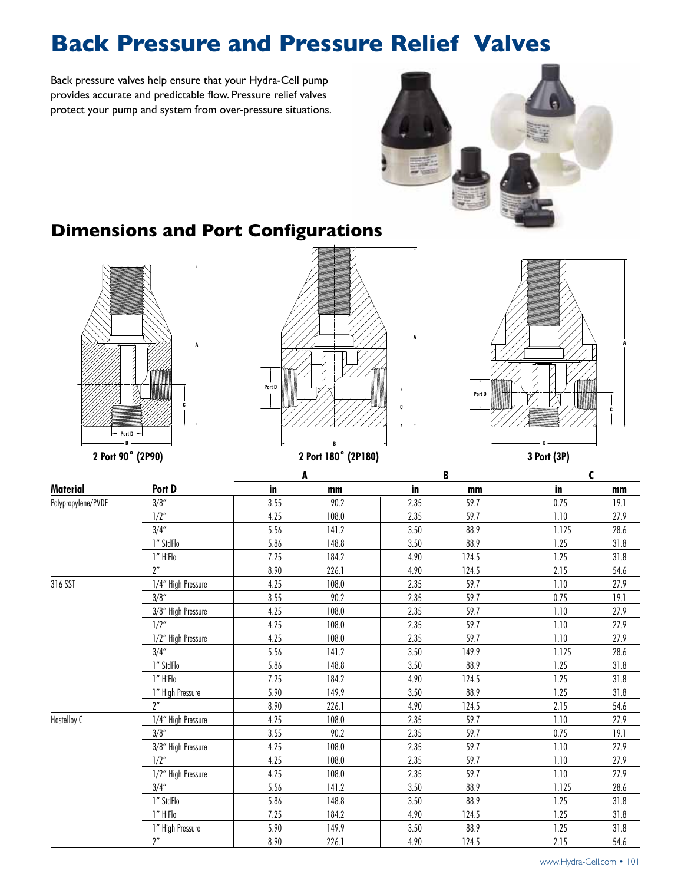# **Back Pressure and Pressure Relief Valves**

Back pressure valves help ensure that your Hydra-Cell pump provides accurate and predictable flow. Pressure relief valves protect your pump and system from over-pressure situations.



### **Dimensions and Port Configurations**





**A**





|                    |                    |      | A     |      | B     | C     |      |
|--------------------|--------------------|------|-------|------|-------|-------|------|
| Material           | Port D             | in   | mm    | in   | mm    | in    | mm   |
| Polypropylene/PVDF | 3/8''              | 3.55 | 90.2  | 2.35 | 59.7  | 0.75  | 19.1 |
|                    | 1/2"               | 4.25 | 108.0 | 2.35 | 59.7  | 1.10  | 27.9 |
|                    | 3/4''              | 5.56 | 141.2 | 3.50 | 88.9  | 1.125 | 28.6 |
|                    | 1" StdFlo          | 5.86 | 148.8 | 3.50 | 88.9  | 1.25  | 31.8 |
|                    | 1" HiFlo           | 7.25 | 184.2 | 4.90 | 124.5 | 1.25  | 31.8 |
|                    | $2^{\prime\prime}$ | 8.90 | 226.1 | 4.90 | 124.5 | 2.15  | 54.6 |
| 316 SST            | 1/4" High Pressure | 4.25 | 108.0 | 2.35 | 59.7  | 1.10  | 27.9 |
|                    | 3/8''              | 3.55 | 90.2  | 2.35 | 59.7  | 0.75  | 19.1 |
|                    | 3/8" High Pressure | 4.25 | 108.0 | 2.35 | 59.7  | 1.10  | 27.9 |
|                    | 1/2''              | 4.25 | 108.0 | 2.35 | 59.7  | 1.10  | 27.9 |
|                    | 1/2" High Pressure | 4.25 | 108.0 | 2.35 | 59.7  | 1.10  | 27.9 |
|                    | 3/4''              | 5.56 | 141.2 | 3.50 | 149.9 | 1.125 | 28.6 |
|                    | 1" StdFlo          | 5.86 | 148.8 | 3.50 | 88.9  | 1.25  | 31.8 |
|                    | 1" HiFlo           | 7.25 | 184.2 | 4.90 | 124.5 | 1.25  | 31.8 |
|                    | 1" High Pressure   | 5.90 | 149.9 | 3.50 | 88.9  | 1.25  | 31.8 |
|                    | $2^{\prime\prime}$ | 8.90 | 226.1 | 4.90 | 124.5 | 2.15  | 54.6 |
| Hastelloy C        | 1/4" High Pressure | 4.25 | 108.0 | 2.35 | 59.7  | 1.10  | 27.9 |
|                    | 3/8''              | 3.55 | 90.2  | 2.35 | 59.7  | 0.75  | 19.1 |
|                    | 3/8" High Pressure | 4.25 | 108.0 | 2.35 | 59.7  | 1.10  | 27.9 |
|                    | 1/2"               | 4.25 | 108.0 | 2.35 | 59.7  | 1.10  | 27.9 |
|                    | 1/2" High Pressure | 4.25 | 108.0 | 2.35 | 59.7  | 1.10  | 27.9 |
|                    | 3/4''              | 5.56 | 141.2 | 3.50 | 88.9  | 1.125 | 28.6 |
|                    | 1" StdFlo          | 5.86 | 148.8 | 3.50 | 88.9  | 1.25  | 31.8 |
|                    | 1" HiFlo           | 7.25 | 184.2 | 4.90 | 124.5 | 1.25  | 31.8 |
|                    | 1" High Pressure   | 5.90 | 149.9 | 3.50 | 88.9  | 1.25  | 31.8 |
|                    | $2^{\prime\prime}$ | 8.90 | 226.1 | 4.90 | 124.5 | 2.15  | 54.6 |

www.Hydra-Cell.com • 101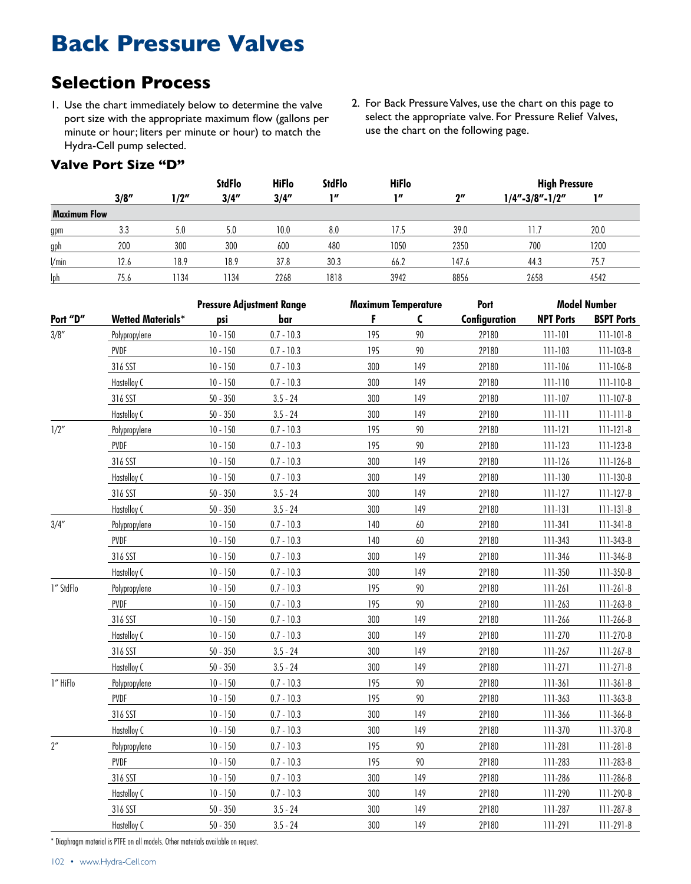### **Back Pressure Valves**

### **Selection Process**

1. Use the chart immediately below to determine the valve port size with the appropriate maximum flow (gallons per minute or hour; liters per minute or hour) to match the Hydra-Cell pump selected.

#### **Valve Port Size "D"**

2. For Back Pressure Valves, use the chart on this page to select the appropriate valve. For Pressure Relief Valves, use the chart on the following page.

|                     |       |      | <b>StdFlo</b> | <b>HiFlo</b> | <b>StdFlo</b> | <b>HiFlo</b> |       | <b>High Pressure</b> |      |  |
|---------------------|-------|------|---------------|--------------|---------------|--------------|-------|----------------------|------|--|
|                     | 3/8'' | l/2″ | 3/4''         | 3/4''        | 111           | 11           | יוף   | $1/4" - 3/8" - 1/2"$ | 10   |  |
| <b>Maximum Flow</b> |       |      |               |              |               |              |       |                      |      |  |
| gpm                 | 3.3   | 5.0  | 5.0           | 10.0         | 8.0           | 17.5         | 39.0  | 1.7                  | 20.0 |  |
| gph                 | 200   | 300  | 300           | 600          | 480           | 1050         | 2350  | 700                  | 1200 |  |
| /min                | 12.6  | 18.9 | 18.9          | 37.8         | 30.3          | 66.2         | 147.6 | 44.3                 | 75.7 |  |
| lph                 | 75.6  | 1134 | 1134          | 2268         | 1818          | 3942         | 8856  | 2658                 | 4542 |  |

|                    |                          | <b>Pressure Adjustment Range</b> |              | <b>Maximum Temperature</b> |        | Port          |                  | <b>Model Number</b> |
|--------------------|--------------------------|----------------------------------|--------------|----------------------------|--------|---------------|------------------|---------------------|
| Port "D"           | <b>Wetted Materials*</b> | psi                              | bar          | F                          | C      | Configuration | <b>NPT Ports</b> | <b>BSPT Ports</b>   |
| 3/8''              | Polypropylene            | $10 - 150$                       | $0.7 - 10.3$ | 195                        | 90     | 2P180         | $111 - 101$      | $111 - 101 - B$     |
|                    | PVDF                     | $10 - 150$                       | $0.7 - 10.3$ | 195                        | 90     | 2P180         | 111-103          | 111-103-B           |
|                    | 316 SST                  | $10 - 150$                       | $0.7 - 10.3$ | 300                        | 149    | 2P180         | 111-106          | 111-106-B           |
|                    | Hastelloy C              | $10 - 150$                       | $0.7 - 10.3$ | 300                        | 149    | 2P180         | $111 - 110$      | $111 - 110 - B$     |
|                    | 316 SST                  | $50 - 350$                       | $3.5 - 24$   | 300                        | 149    | 2P180         | $111 - 107$      | $111 - 107 - B$     |
|                    | Hastelloy C              | $50 - 350$                       | $3.5 - 24$   | 300                        | 149    | 2P180         | $111 - 111$      | $111 - 111 - B$     |
| 1/2"               | Polypropylene            | $10 - 150$                       | $0.7 - 10.3$ | 195                        | 90     | 2P180         | $111 - 121$      | $111 - 121 - B$     |
|                    | PVDF                     | $10 - 150$                       | $0.7 - 10.3$ | 195                        | 90     | 2P180         | 111-123          | $111 - 123 - B$     |
|                    | 316 SST                  | $10 - 150$                       | $0.7 - 10.3$ | 300                        | 149    | 2P180         | 111-126          | $111 - 126 - B$     |
|                    | Hastelloy C              | $10 - 150$                       | $0.7 - 10.3$ | 300                        | 149    | 2P180         | 111-130          | 111-130-B           |
|                    | 316 SST                  | $50 - 350$                       | $3.5 - 24$   | 300                        | 149    | 2P180         | $111 - 127$      | $111 - 127 - B$     |
|                    | Hastelloy C              | $50 - 350$                       | $3.5 - 24$   | 300                        | 149    | 2P180         | $111 - 131$      | $111 - 131 - B$     |
| 3/4''              | Polypropylene            | $10 - 150$                       | $0.7 - 10.3$ | 140                        | $60\,$ | 2P180         | $111 - 341$      | $111 - 341 - B$     |
|                    | PVDF                     | $10 - 150$                       | $0.7 - 10.3$ | 140                        | 60     | 2P180         | 111-343          | 111-343-B           |
|                    | 316 SST                  | $10 - 150$                       | $0.7 - 10.3$ | 300                        | 149    | 2P180         | 111-346          | 111-346-B           |
|                    | Hastelloy C              | $10 - 150$                       | $0.7 - 10.3$ | 300                        | 149    | 2P180         | 111-350          | 111-350-B           |
| 1" StdFlo          | Polypropylene            | $10 - 150$                       | $0.7 - 10.3$ | 195                        | 90     | 2P180         | $111 - 261$      | $111 - 261 - B$     |
|                    | PVDF                     | $10 - 150$                       | $0.7 - 10.3$ | 195                        | 90     | 2P180         | 111-263          | 111-263-B           |
|                    | 316 SST                  | $10 - 150$                       | $0.7 - 10.3$ | 300                        | 149    | 2P180         | 111-266          | 111-266-B           |
|                    | Hastelloy C              | $10 - 150$                       | $0.7 - 10.3$ | 300                        | 149    | 2P180         | 111-270          | 111-270-B           |
|                    | 316 SST                  | $50 - 350$                       | $3.5 - 24$   | 300                        | 149    | 2P180         | 111-267          | 111-267-B           |
|                    | Hastelloy C              | $50 - 350$                       | $3.5 - 24$   | 300                        | 149    | 2P180         | $111 - 271$      | $111 - 271 - B$     |
| 1" HiFlo           | Polypropylene            | $10 - 150$                       | $0.7 - 10.3$ | 195                        | 90     | 2P180         | 111-361          | $111 - 361 - B$     |
|                    | PVDF                     | $10 - 150$                       | $0.7 - 10.3$ | 195                        | 90     | 2P180         | 111-363          | 111-363-B           |
|                    | 316 SST                  | $10 - 150$                       | $0.7 - 10.3$ | 300                        | 149    | 2P180         | 111-366          | 111-366-B           |
|                    | Hastelloy C              | $10 - 150$                       | $0.7 - 10.3$ | 300                        | 149    | 2P180         | 111-370          | 111-370-B           |
| $2^{\prime\prime}$ | Polypropylene            | $10 - 150$                       | $0.7 - 10.3$ | 195                        | 90     | 2P180         | 111-281          | $111 - 281 - B$     |
|                    | PVDF                     | $10 - 150$                       | $0.7 - 10.3$ | 195                        | 90     | 2P180         | 111-283          | 111-283-B           |
|                    | 316 SST                  | $10 - 150$                       | $0.7 - 10.3$ | 300                        | 149    | 2P180         | 111-286          | 111-286-B           |
|                    | Hastelloy C              | $10 - 150$                       | $0.7 - 10.3$ | 300                        | 149    | 2P180         | 111-290          | 111-290-B           |
|                    | 316 SST                  | $50 - 350$                       | $3.5 - 24$   | 300                        | 149    | 2P180         | 111-287          | 111-287-B           |
|                    | Hastelloy C              | $50 - 350$                       | $3.5 - 24$   | 300                        | 149    | 2P180         | 111-291          | $111 - 291 - B$     |

\* Diaphragm material is PTFE on all models. Other materials available on request.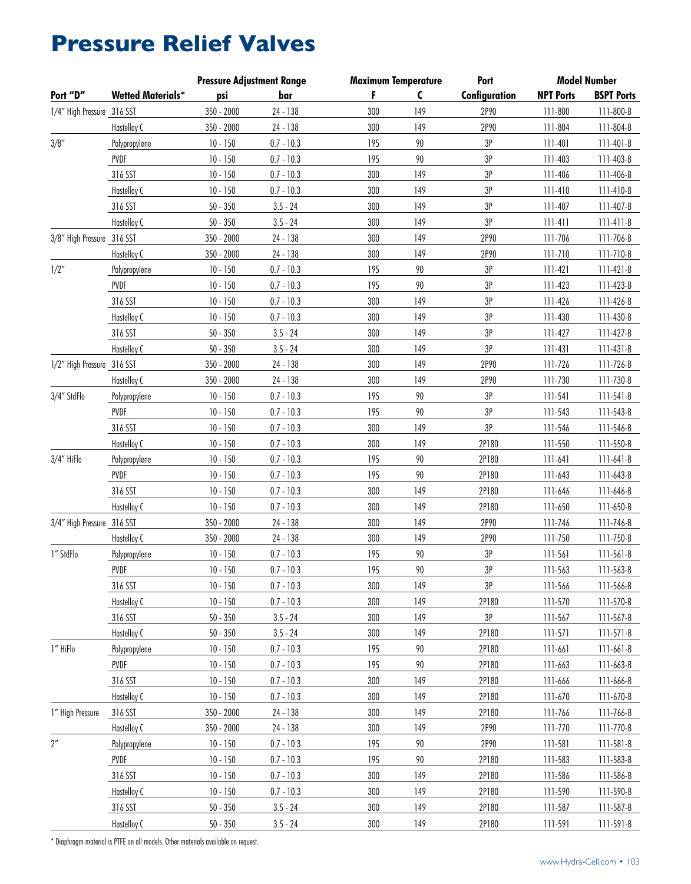## **Pressure Relief Valves**

|                            |                          | <b>Pressure Adjustment Range</b> |              | <b>Maximum Temperature</b> |     | Port          |                  | <b>Model Number</b> |
|----------------------------|--------------------------|----------------------------------|--------------|----------------------------|-----|---------------|------------------|---------------------|
| Port "D"                   | <b>Wetted Materials*</b> | psi                              | bar          | F                          | C   | Configuration | <b>NPT Ports</b> | <b>BSPT Ports</b>   |
| 1/4" High Pressure 316 SST |                          | 350 - 2000                       | 24 - 138     | 300                        | 149 | 2P90          | 111-800          | 111-800-B           |
|                            | Hastelloy C              | $350 - 2000$                     | 24 - 138     | 300                        | 149 | 2P90          | 111-804          | 111-804-B           |
| 3/8''                      | Polypropylene            | $10 - 150$                       | $0.7 - 10.3$ | 195                        | 90  | 3P            | 111-401          | $111 - 401 - B$     |
|                            | PVDF                     | $10 - 150$                       | $0.7 - 10.3$ | 195                        | 90  | 3P            | 111-403          | 111-403-B           |
|                            | 316 SST                  | $10 - 150$                       | $0.7 - 10.3$ | 300                        | 149 | 3P            | 111-406          | 111-406-B           |
|                            | Hastelloy C              | $10 - 150$                       | $0.7 - 10.3$ | 300                        | 149 | 3P            | 111-410          | $111 - 410 - B$     |
|                            | 316 SST                  | $50 - 350$                       | $3.5 - 24$   | 300                        | 149 | 3P            | 111-407          | 111-407-B           |
|                            | Hastelloy C              | $50 - 350$                       | $3.5 - 24$   | 300                        | 149 | 3P            | $111 - 411$      | $111-411-B$         |
| 3/8" High Pressure 316 SST |                          | 350 - 2000                       | 24 - 138     | 300                        | 149 | 2P90          | 111-706          | 111-706-B           |
|                            | Hastelloy C              | 350 - 2000                       | 24 - 138     | 300                        | 149 | 2P90          |                  |                     |
|                            |                          |                                  |              |                            |     |               | 111-710          | $111 - 710 - B$     |
| 1/2''                      | Polypropylene            | $10 - 150$                       | $0.7 - 10.3$ | 195                        | 90  | 3P            | 111-421          | $111 - 421 - B$     |
|                            | PVDF                     | $10 - 150$                       | $0.7 - 10.3$ | 195                        | 90  | 3P            | 111-423          | 111-423-B           |
|                            | 316 SST                  | $10 - 150$                       | $0.7 - 10.3$ | 300                        | 149 | 3P            | 111-426          | 111-426-B           |
|                            | Hastelloy C              | $10 - 150$                       | $0.7 - 10.3$ | 300                        | 149 | 3P            | 111-430          | 111-430-B           |
|                            | 316 SST                  | $50 - 350$                       | $3.5 - 24$   | 300                        | 149 | 3P            | 111-427          | 111-427-B           |
|                            | Hastelloy C              | $50 - 350$                       | $3.5 - 24$   | 300                        | 149 | 3P            | 111-431          | $111 - 431 - B$     |
| 1/2" High Pressure 316 SST |                          | 350 - 2000                       | 24 - 138     | 300                        | 149 | 2P90          | 111-726          | 111-726-B           |
|                            | Hastelloy C              | 350 - 2000                       | 24 - 138     | 300                        | 149 | 2P90          | 111-730          | 111-730-B           |
| 3/4" StdFlo                | Polypropylene            | $10 - 150$                       | $0.7 - 10.3$ | 195                        | 90  | $3P$          | $111 - 541$      | $111 - 541 - B$     |
|                            | PVDF                     | $10 - 150$                       | $0.7 - 10.3$ | 195                        | 90  | 3P            | 111-543          | $111 - 543 - B$     |
|                            | 316 SST                  | $10 - 150$                       | $0.7 - 10.3$ | 300                        | 149 | 3P            | 111-546          | 111-546-B           |
|                            | Hastelloy C              | $10 - 150$                       | $0.7 - 10.3$ | 300                        | 149 | 2P180         | 111-550          | 111-550-B           |
| 3/4" HiFlo                 | Polypropylene            | $10 - 150$                       | $0.7 - 10.3$ | 195                        | 90  | 2P180         | $111 - 641$      | $111 - 641 - B$     |
|                            | PVDF                     | $10 - 150$                       | $0.7 - 10.3$ | 195                        | 90  | 2P180         | 111-643          | 111-643-B           |
|                            | 316 SST                  | $10 - 150$                       | $0.7 - 10.3$ | 300                        | 149 | 2P180         | 111-646          | 111-646-B           |
|                            | Hastelloy C              | $10 - 150$                       | $0.7 - 10.3$ | 300                        | 149 | 2P180         | 111-650          | 111-650-B           |
| 3/4" High Pressure 316 SST |                          | 350 - 2000                       | 24 - 138     | 300                        | 149 | 2P90          | 111-746          | 111-746-B           |
|                            | Hastelloy C              | 350 - 2000                       | 24 - 138     | 300                        | 149 | 2P90          | 111-750          | 111-750-B           |
| 1" StdFlo                  | Polypropylene            | $10 - 150$                       | $0.7 - 10.3$ | 195                        | 90  | 3P            | 111-561          | $111 - 561 - B$     |
|                            | PVDF                     | $10 - 150$                       | $0.7 - 10.3$ | 195                        | 90  | 3P            | 111-563          | 111-563-B           |
|                            | 316 SST                  | $10 - 150$                       | $0.7 - 10.3$ | 300                        | 149 | 3P            | 111-566          | $111 - 566 - B$     |
|                            | Hastelloy C              | $10 - 150$                       | $0.7 - 10.3$ | 300                        | 149 | 2P180         | 111-570          | 111-570-B           |
|                            | 316 SST                  |                                  |              | 300                        | 149 | 3P            |                  |                     |
|                            |                          | $50 - 350$                       | $3.5 - 24$   |                            |     |               | 111-567          | 111-567-B           |
|                            | Hastelloy C              | $50 - 350$                       | $3.5 - 24$   | 300                        | 149 | 2P180         | $111 - 571$      | $111-571-B$         |
| 1" HiFlo                   | Polypropylene            | $10 - 150$                       | $0.7 - 10.3$ | 195                        | 90  | 2P180         | $111 - 661$      | $111-661-B$         |
|                            | PVDF                     | $10 - 150$                       | $0.7 - 10.3$ | 195                        | 90  | 2P180         | 111-663          | 111-663-B           |
|                            | 316 SST                  | $10 - 150$                       | $0.7 - 10.3$ | 300                        | 149 | 2P180         | 111-666          | 111-666-B           |
|                            | Hastelloy C              | $10 - 150$                       | $0.7 - 10.3$ | 300                        | 149 | 2P180         | 111-670          | 111-670-B           |
| 1" High Pressure           | 316 SST                  | 350 - 2000                       | 24 - 138     | 300                        | 149 | 2P180         | 111-766          | 111-766-B           |
|                            | Hastelloy C              | 350 - 2000                       | 24 - 138     | 300                        | 149 | 2P90          | 111-770          | $111 - 770 - B$     |
| $2^{\prime\prime}$         | Polypropylene            | $10 - 150$                       | $0.7 - 10.3$ | 195                        | 90  | 2P90          | 111-581          | $111 - 581 - B$     |
|                            | PVDF                     | $10 - 150$                       | $0.7 - 10.3$ | 195                        | 90  | 2P180         | 111-583          | 111-583-B           |
|                            | 316 SST                  | $10 - 150$                       | $0.7 - 10.3$ | 300                        | 149 | 2P180         | 111-586          | 111-586-B           |
|                            | Hastelloy C              | $10 - 150$                       | $0.7 - 10.3$ | 300                        | 149 | 2P180         | 111-590          | 111-590-B           |
|                            | 316 SST                  | $50 - 350$                       | $3.5 - 24$   | 300                        | 149 | 2P180         | 111-587          | 111-587-B           |
|                            | Hastelloy C              | $50 - 350$                       | $3.5 - 24$   | 300                        | 149 | 2P180         | 111-591          | $111-591-B$         |

\* Diaphragm material is PTFE on all models. Other materials available on request.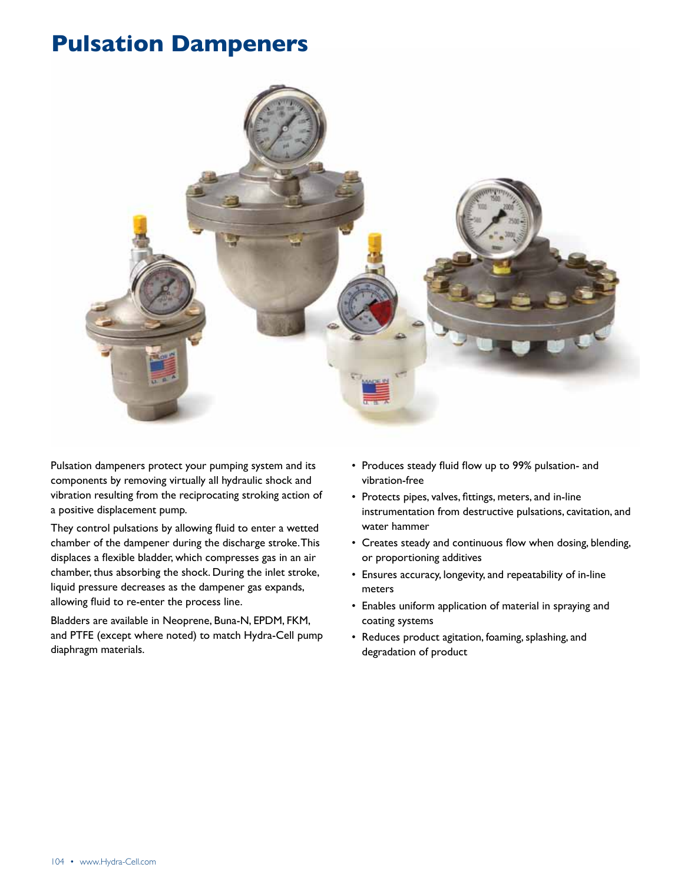

Pulsation dampeners protect your pumping system and its components by removing virtually all hydraulic shock and vibration resulting from the reciprocating stroking action of a positive displacement pump.

They control pulsations by allowing fluid to enter a wetted chamber of the dampener during the discharge stroke. This displaces a flexible bladder, which compresses gas in an air chamber, thus absorbing the shock. During the inlet stroke, liquid pressure decreases as the dampener gas expands, allowing fluid to re-enter the process line.

Bladders are available in Neoprene, Buna-N, EPDM, FKM, and PTFE (except where noted) to match Hydra-Cell pump diaphragm materials.

- Produces steady fluid flow up to 99% pulsation- and vibration-free
- • Protects pipes, valves, fittings, meters, and in-line instrumentation from destructive pulsations, cavitation, and water hammer
- • Creates steady and continuous flow when dosing, blending, or proportioning additives
- • Ensures accuracy, longevity, and repeatability of in-line meters
- • Enables uniform application of material in spraying and coating systems
- Reduces product agitation, foaming, splashing, and degradation of product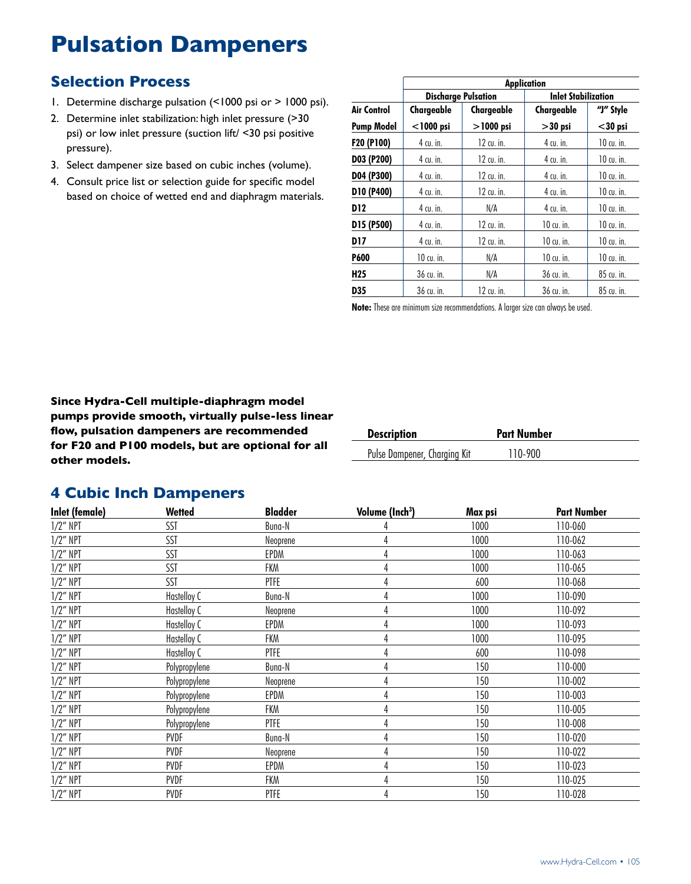#### **Selection Process**

- 1. Determine discharge pulsation (<1000 psi or > 1000 psi).
- 2. Determine inlet stabilization: high inlet pressure (>30 psi) or low inlet pressure (suction lift/ <30 psi positive pressure).
- 3. Select dampener size based on cubic inches (volume).
- 4. Consult price list or selection guide for specific model based on choice of wetted end and diaphragm materials.

|                   |              |                            | <b>Application</b>         |              |  |  |
|-------------------|--------------|----------------------------|----------------------------|--------------|--|--|
|                   |              | <b>Discharge Pulsation</b> | <b>Inlet Stabilization</b> |              |  |  |
| Air Control       | Chargeable   | Chargeable                 | Chargeable                 | "J" Style    |  |  |
| <b>Pump Model</b> | $<$ 1000 psi | $>$ 1000 psi               | $>30$ psi                  | $<$ 30 psi   |  |  |
| F20 (P100)        | 4 cu. in.    | 12 cu. in.                 | 4 cu. in.                  | 10 cu. in.   |  |  |
| D03 (P200)        | 4 cu. in.    | $12$ cu. in.               | 4 cu. in.                  | $10$ cu. in. |  |  |
| D04 (P300)        | 4 cu. in.    | 12 cu. in.                 | 4 cu. in.                  | $10$ cu. in. |  |  |
| D10 (P400)        | 4 cu. in.    | 12 cu. in.                 | 4 cu. in.                  | $10$ cu. in. |  |  |
| D12               | 4 cu. in.    | N/A                        | 4 cu. in.                  | 10 cu. in.   |  |  |
| D15 (P500)        | 4 cu. in.    | $12$ cu. in.               | $10$ cu. in.               | $10$ cu. in. |  |  |
| D17               | 4 cu. in.    | 12 cu. in.                 | $10$ cu. in.               | $10$ cu. in. |  |  |
| P600              | $10$ cu. in. | N/A                        | 10 cu. in.                 | $10$ cu. in. |  |  |
| H25               | 36 cu. in.   | N/A                        | 36 cu. in.                 | 85 cu. in.   |  |  |
| D35               | 36 cu. in.   | 12 cu. in.                 | 36 cu. in.                 | 85 cu. in.   |  |  |

**Note:** These are minimum size recommendations. A larger size can always be used.

**Since Hydra-Cell multiple-diaphragm model pumps provide smooth, virtually pulse-less linear flow, pulsation dampeners are recommended for F20 and P100 models, but are optional for all other models.**

| <b>Description</b>           | <b>Part Number</b> |  |
|------------------------------|--------------------|--|
| Pulse Dampener, Charging Kit | 110-900            |  |

#### **4 Cubic Inch Dampeners**

| Inlet (female) | Wetted        | <b>Bladder</b> | Volume (Inch <sup>3</sup> ) | Max psi | <b>Part Number</b> |
|----------------|---------------|----------------|-----------------------------|---------|--------------------|
| $1/2$ " NPT    | SST           | Buna-N         |                             | 1000    | 110-060            |
| $1/2$ " NPT    | SST           | Neoprene       |                             | 1000    | 110-062            |
| $1/2$ " NPT    | SST           | EPDM           |                             | 1000    | 110-063            |
| $1/2$ " NPT    | SST           | FKM            | 4                           | 1000    | 110-065            |
| $1/2$ " NPT    | SST           | PTFE           | 4                           | 600     | 110-068            |
| $1/2$ " NPT    | Hastelloy C   | Buna-N         | 4                           | 1000    | 110-090            |
| $1/2$ " NPT    | Hastelloy C   | Neoprene       | 4                           | 1000    | 110-092            |
| $1/2$ " NPT    | Hastelloy C   | EPDM           | 4                           | 1000    | 110-093            |
| $1/2$ " NPT    | Hastelloy C   | FKM            |                             | 1000    | 110-095            |
| $1/2$ " NPT    | Hastelloy C   | <b>PTFE</b>    |                             | 600     | 110-098            |
| $1/2$ " NPT    | Polypropylene | Buna-N         |                             | 150     | 110-000            |
| $1/2$ " NPT    | Polypropylene | Neoprene       |                             | 150     | 110-002            |
| $1/2$ " NPT    | Polypropylene | EPDM           | 4                           | 150     | 110-003            |
| $1/2$ " NPT    | Polypropylene | FKM            | 4                           | 150     | 110-005            |
| $1/2$ " NPT    | Polypropylene | PTFE           | 4                           | 150     | 110-008            |
| $1/2$ " NPT    | PVDF          | Buna-N         |                             | 150     | 110-020            |
| $1/2$ " NPT    | PVDF          | Neoprene       | 4                           | 150     | 110-022            |
| $1/2$ " NPT    | PVDF          | EPDM           |                             | 150     | 110-023            |
| $1/2$ " NPT    | PVDF          | <b>FKM</b>     |                             | 150     | 110-025            |
| $1/2$ " NPT    | PVDF          | PTFE           | 4                           | 150     | 110-028            |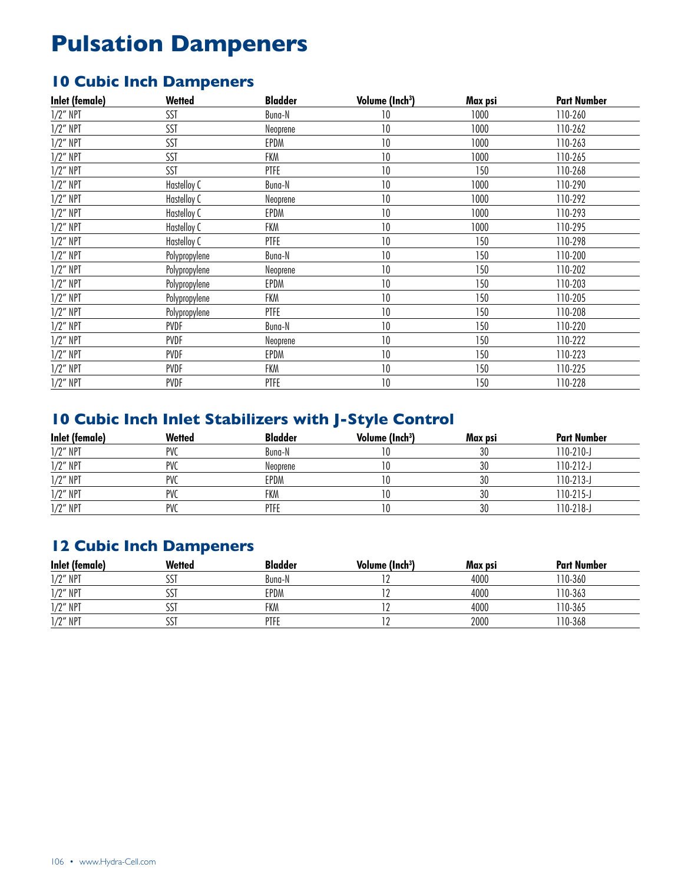### **10 Cubic Inch Dampeners**

| Inlet (female) | Wetted        | <b>Bladder</b> | Volume (Inch <sup>3</sup> ) | Max psi | <b>Part Number</b> |
|----------------|---------------|----------------|-----------------------------|---------|--------------------|
| $1/2$ " NPT    | SST           | Buna-N         | 10                          | 1000    | 110-260            |
| $1/2$ " NPT    | SST           | Neoprene       | 10                          | 1000    | 110-262            |
| $1/2$ " NPT    | SST           | EPDM           | 10                          | 1000    | 110-263            |
| $1/2$ " NPT    | SST           | FKM            | 10                          | 1000    | 110-265            |
| $1/2$ " NPT    | SST           | PTFE           | 10                          | 150     | 110-268            |
| $1/2$ " NPT    | Hastelloy C   | Buna-N         | 10                          | 1000    | 110-290            |
| $1/2$ " NPT    | Hastelloy C   | Neoprene       | 10                          | 1000    | 110-292            |
| $1/2$ " NPT    | Hastelloy C   | EPDM           | 10                          | 1000    | 110-293            |
| $1/2$ " NPT    | Hastelloy C   | FKM            | 10                          | 1000    | 110-295            |
| $1/2$ " NPT    | Hastelloy C   | PTFE           | 10                          | 150     | 110-298            |
| $1/2$ " NPT    | Polypropylene | Buna-N         | 10                          | 150     | 110-200            |
| $1/2$ " NPT    | Polypropylene | Neoprene       | 10                          | 150     | 110-202            |
| $1/2$ " NPT    | Polypropylene | EPDM           | 10                          | 150     | 110-203            |
| $1/2$ " NPT    | Polypropylene | FKM            | 10                          | 150     | 110-205            |
| $1/2$ " NPT    | Polypropylene | PTFE           | 10                          | 150     | 110-208            |
| $1/2$ " NPT    | PVDF          | Buna-N         | 10                          | 150     | 110-220            |
| $1/2$ " NPT    | PVDF          | Neoprene       | 10                          | 150     | 110-222            |
| $1/2$ " NPT    | PVDF          | EPDM           | 10                          | 150     | 110-223            |
| $1/2$ " NPT    | PVDF          | FKM            | 10                          | 150     | 110-225            |
| $1/2$ " NPT    | PVDF          | PTFE           | 10                          | 150     | 110-228            |

### **10 Cubic Inch Inlet Stabilizers with J-Style Control**

| Inlet (female) | Wetted     | <b>Bladder</b> | Volume (Inch <sup>3</sup> ) | Max psi | <b>Part Number</b> |
|----------------|------------|----------------|-----------------------------|---------|--------------------|
| $1/2$ " NPT    | <b>PVC</b> | Buna-N         |                             | 30      | $110-210-J$        |
| $1/2$ " NPT    | <b>PVC</b> | Neoprene       |                             | 30      | 110-212-J          |
| $1/2$ " NPT    | <b>PVC</b> | EPDM           |                             | 30      | 110-213-J          |
| $1/2$ " NPT    | <b>PVC</b> | FKM            |                             | 30      | 110-215-J          |
| 1/2" NPT       | <b>PVC</b> | PTFE           |                             | 30      | 110-218-J          |

### **12 Cubic Inch Dampeners**

| <b>Inlet (female)</b> | <b>Wetted</b> | <b>Bladder</b> | Volume (Inch <sup>3</sup> ) | Max psi | <b>Part Number</b> |
|-----------------------|---------------|----------------|-----------------------------|---------|--------------------|
| $1/2$ " NPT           | JJ            | Buna-N         |                             | 4000    | 10-360             |
| $1/2$ " NPT           |               | EPDM           |                             | 4000    | $10 - 363$         |
| $1/2$ " NPT           |               | FKM            |                             | 4000    | 10-365             |
| $1/2$ " NPT           | دد            | PTFE           |                             | 2000    | 110-368            |